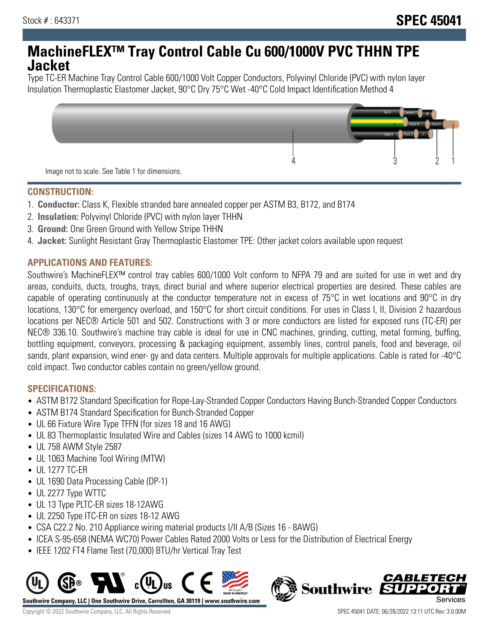# **MachineFLEX™ Tray Control Cable Cu 600/1000V PVC THHN TPE Jacket**

Type TC-ER Machine Tray Control Cable 600/1000 Volt Copper Conductors, Polyvinyl Chloride (PVC) with nylon layer Insulation Thermoplastic Elastomer Jacket, 90°C Dry 75°C Wet -40°C Cold Impact Identification Method 4



#### **CONSTRUCTION:**

- 1. **Conductor:** Class K, Flexible stranded bare annealed copper per ASTM B3, B172, and B174
- 2. **Insulation:** Polyvinyl Chloride (PVC) with nylon layer THHN
- 3. **Ground:** One Green Ground with Yellow Stripe THHN
- 4. **Jacket:** Sunlight Resistant Gray Thermoplastic Elastomer TPE: Other jacket colors available upon request

## **APPLICATIONS AND FEATURES:**

Southwire's MachineFLEX™ control tray cables 600/1000 Volt conform to NFPA 79 and are suited for use in wet and dry areas, conduits, ducts, troughs, trays, direct burial and where superior electrical properties are desired. These cables are capable of operating continuously at the conductor temperature not in excess of 75°C in wet locations and 90°C in dry locations, 130°C for emergency overload, and 150°C for short circuit conditions. For uses in Class I, II, Division 2 hazardous locations per NEC® Article 501 and 502. Constructions with 3 or more conductors are listed for exposed runs (TC-ER) per NEC® 336.10. Southwire's machine tray cable is ideal for use in CNC machines, grinding, cutting, metal forming, buffing, bottling equipment, conveyors, processing & packaging equipment, assembly lines, control panels, food and beverage, oil sands, plant expansion, wind ener- gy and data centers. Multiple approvals for multiple applications. Cable is rated for -40°C cold impact. Two conductor cables contain no green/yellow ground.

## **SPECIFICATIONS:**

- ASTM B172 Standard Specification for Rope-Lay-Stranded Copper Conductors Having Bunch-Stranded Copper Conductors
- ASTM B174 Standard Specification for Bunch-Stranded Copper
- UL 66 Fixture Wire Type TFFN (for sizes 18 and 16 AWG)
- UL 83 Thermoplastic Insulated Wire and Cables (sizes 14 AWG to 1000 kcmil)
- UL 758 AWM Style 2587
- UL 1063 Machine Tool Wiring (MTW)
- UL 1277 TC-ER
- UL 1690 Data Processing Cable (DP-1)
- UL 2277 Type WTTC
- UL 13 Type PLTC-ER sizes 18-12AWG
- UL 2250 Type ITC-ER on sizes 18-12 AWG
- CSA C22.2 No. 210 Appliance wiring material products I/II A/B (Sizes 16 8AWG)
- ICEA S-95-658 (NEMA WC70) Power Cables Rated 2000 Volts or Less for the Distribution of Electrical Energy
- IEEE 1202 FT4 Flame Test (70,000) BTU/hr Vertical Tray Test



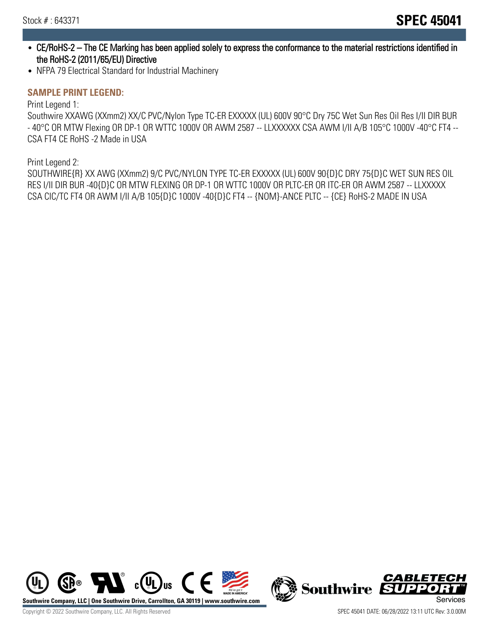- CE/RoHS-2 The CE Marking has been applied solely to express the conformance to the material restrictions identified in the RoHS-2 (2011/65/EU) Directive
- NFPA 79 Electrical Standard for Industrial Machinery

#### **SAMPLE PRINT LEGEND:**

Print Legend 1:

Southwire XXAWG (XXmm2) XX/C PVC/Nylon Type TC-ER EXXXXX (UL) 600V 90°C Dry 75C Wet Sun Res Oil Res I/II DIR BUR - 40°C OR MTW Flexing OR DP-1 OR WTTC 1000V OR AWM 2587 -- LLXXXXXX CSA AWM I/II A/B 105°C 1000V -40°C FT4 -- CSA FT4 CE RoHS -2 Made in USA

Print Legend 2:

SOUTHWIRE{R} XX AWG (XXmm2) 9/C PVC/NYLON TYPE TC-ER EXXXXX (UL) 600V 90{D}C DRY 75{D}C WET SUN RES OIL RES I/II DIR BUR -40{D}C OR MTW FLEXING OR DP-1 OR WTTC 1000V OR PLTC-ER OR ITC-ER OR AWM 2587 -- LLXXXXX CSA CIC/TC FT4 OR AWM I/II A/B 105{D}C 1000V -40{D}C FT4 -- {NOM}-ANCE PLTC -- {CE} RoHS-2 MADE IN USA